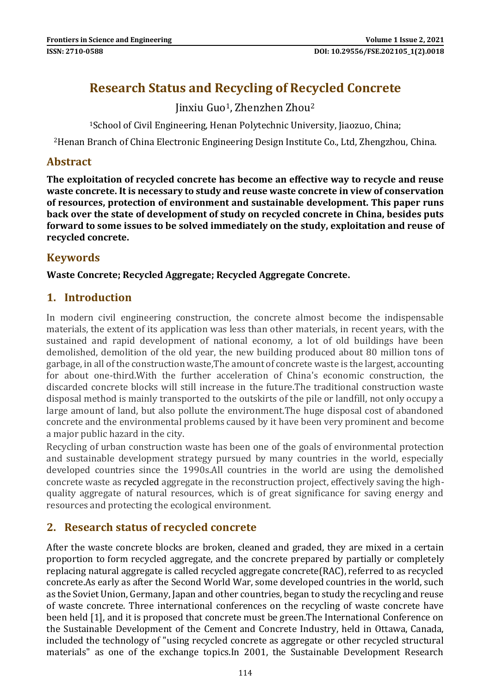# **Research Status and Recycling of Recycled Concrete**

Jinxiu Guo1, Zhenzhen Zhou<sup>2</sup>

<sup>1</sup>School of Civil Engineering, Henan Polytechnic University, Jiaozuo, China;

<sup>2</sup>Henan Branch of China Electronic Engineering Design Institute Co., Ltd, Zhengzhou, China.

# **Abstract**

**The exploitation of recycled concrete has become an effective way to recycle and reuse waste concrete. It is necessary to study and reuse waste concrete in view of conservation of resources, protection of environment and sustainable development. This paper runs back over the state of development of study on recycled concrete in China, besides puts forward to some issues to be solved immediately on the study, exploitation and reuse of recycled concrete.**

# **Keywords**

**Waste Concrete; Recycled Aggregate; Recycled Aggregate Concrete.**

# **1. Introduction**

In modern civil engineering construction, the concrete almost become the indispensable materials, the extent of its application was less than other materials, in recent years, with the sustained and rapid development of national economy, a lot of old buildings have been demolished, demolition of the old year, the new building produced about 80 million tons of garbage, in all of the construction waste,The amount of concrete waste is the largest, accounting for about one-third.With the further acceleration of China's economic construction, the discarded concrete blocks will still increase in the future.The traditional construction waste disposal method is mainly transported to the outskirts of the pile or landfill, not only occupy a large amount of land, but also pollute the environment.The huge disposal cost of abandoned concrete and the environmental problems caused by it have been very prominent and become a major public hazard in the city.

Recycling of urban construction waste has been one of the goals of environmental protection and sustainable development strategy pursued by many countries in the world, especially developed countries since the 1990s.All countries in the world are using the demolished concrete waste as recycled aggregate in the reconstruction project, effectively saving the highquality aggregate of natural resources, which is of great significance for saving energy and resources and protecting the ecological environment.

# **2. Research status of recycled concrete**

After the waste concrete blocks are broken, cleaned and graded, they are mixed in a certain proportion to form recycled aggregate, and the concrete prepared by partially or completely replacing natural aggregate is called recycled aggregate concrete(RAC), referred to as recycled concrete.As early as after the Second World War, some developed countries in the world, such as the Soviet Union, Germany, Japan and other countries, began to study the recycling and reuse of waste concrete. Three international conferences on the recycling of waste concrete have been held [1], and it is proposed that concrete must be green.The International Conference on the Sustainable Development of the Cement and Concrete Industry, held in Ottawa, Canada, included the technology of "using recycled concrete as aggregate or other recycled structural materials" as one of the exchange topics.In 2001, the Sustainable Development Research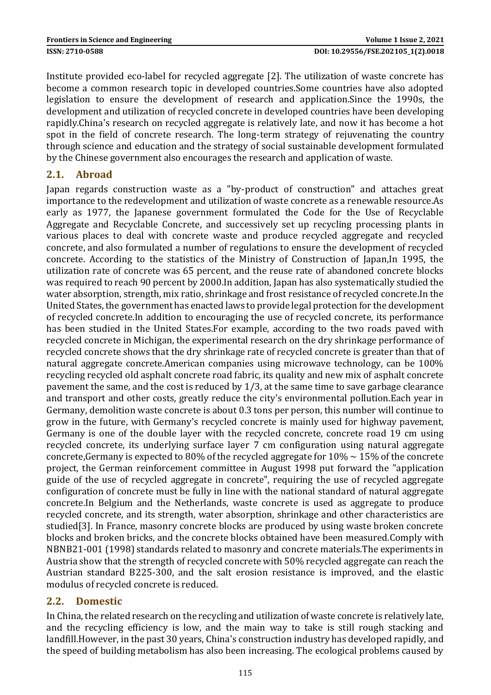Institute provided eco-label for recycled aggregate [2]. The utilization of waste concrete has become a common research topic in developed countries.Some countries have also adopted legislation to ensure the development of research and application.Since the 1990s, the development and utilization of recycled concrete in developed countries have been developing rapidly.China's research on recycled aggregate is relatively late, and now it has become a hot spot in the field of concrete research. The long-term strategy of rejuvenating the country through science and education and the strategy of social sustainable development formulated by the Chinese government also encourages the research and application of waste.

#### **2.1. Abroad**

Japan regards construction waste as a "by-product of construction" and attaches great importance to the redevelopment and utilization of waste concrete as a renewable resource.As early as 1977, the Japanese government formulated the Code for the Use of Recyclable Aggregate and Recyclable Concrete, and successively set up recycling processing plants in various places to deal with concrete waste and produce recycled aggregate and recycled concrete, and also formulated a number of regulations to ensure the development of recycled concrete. According to the statistics of the Ministry of Construction of Japan,In 1995, the utilization rate of concrete was 65 percent, and the reuse rate of abandoned concrete blocks was required to reach 90 percent by 2000.In addition, Japan has also systematically studied the water absorption, strength, mix ratio, shrinkage and frost resistance of recycled concrete.In the United States, the government has enacted laws to provide legal protection for the development of recycled concrete.In addition to encouraging the use of recycled concrete, its performance has been studied in the United States.For example, according to the two roads paved with recycled concrete in Michigan, the experimental research on the dry shrinkage performance of recycled concrete shows that the dry shrinkage rate of recycled concrete is greater than that of natural aggregate concrete.American companies using microwave technology, can be 100% recycling recycled old asphalt concrete road fabric, its quality and new mix of asphalt concrete pavement the same, and the cost is reduced by 1/3, at the same time to save garbage clearance and transport and other costs, greatly reduce the city's environmental pollution.Each year in Germany, demolition waste concrete is about 0.3 tons per person, this number will continue to grow in the future, with Germany's recycled concrete is mainly used for highway pavement, Germany is one of the double layer with the recycled concrete, concrete road 19 cm using recycled concrete, its underlying surface layer 7 cm configuration using natural aggregate concrete, Germany is expected to 80% of the recycled aggregate for  $10\% \sim 15\%$  of the concrete project, the German reinforcement committee in August 1998 put forward the "application guide of the use of recycled aggregate in concrete", requiring the use of recycled aggregate configuration of concrete must be fully in line with the national standard of natural aggregate concrete.In Belgium and the Netherlands, waste concrete is used as aggregate to produce recycled concrete, and its strength, water absorption, shrinkage and other characteristics are studied[3]. In France, masonry concrete blocks are produced by using waste broken concrete blocks and broken bricks, and the concrete blocks obtained have been measured.Comply with NBNB21-001 (1998) standards related to masonry and concrete materials.The experiments in Austria show that the strength of recycled concrete with 50% recycled aggregate can reach the Austrian standard B225-300, and the salt erosion resistance is improved, and the elastic modulus of recycled concrete is reduced.

#### **2.2. Domestic**

In China, the related research on the recycling and utilization of waste concrete is relatively late, and the recycling efficiency is low, and the main way to take is still rough stacking and landfill.However, in the past 30 years, China's construction industry has developed rapidly, and the speed of building metabolism has also been increasing. The ecological problems caused by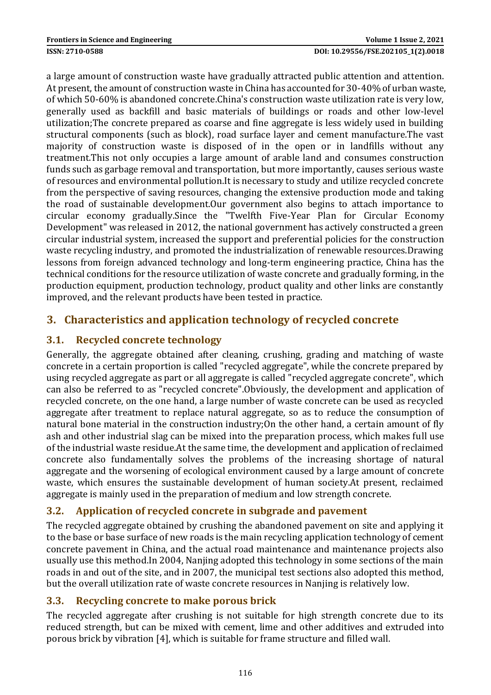#### **ISSN: 2710-0588 DOI: 10.29556/FSE.202105\_1(2).0018**

a large amount of construction waste have gradually attracted public attention and attention. At present, the amount of construction waste in China has accounted for 30-40% of urban waste, of which 50-60% is abandoned concrete.China's construction waste utilization rate is very low, generally used as backfill and basic materials of buildings or roads and other low-level utilization;The concrete prepared as coarse and fine aggregate is less widely used in building structural components (such as block), road surface layer and cement manufacture.The vast majority of construction waste is disposed of in the open or in landfills without any treatment.This not only occupies a large amount of arable land and consumes construction funds such as garbage removal and transportation, but more importantly, causes serious waste of resources and environmental pollution.It is necessary to study and utilize recycled concrete from the perspective of saving resources, changing the extensive production mode and taking the road of sustainable development.Our government also begins to attach importance to circular economy gradually.Since the "Twelfth Five-Year Plan for Circular Economy Development" was released in 2012, the national government has actively constructed a green circular industrial system, increased the support and preferential policies for the construction waste recycling industry, and promoted the industrialization of renewable resources.Drawing lessons from foreign advanced technology and long-term engineering practice, China has the technical conditions for the resource utilization of waste concrete and gradually forming, in the production equipment, production technology, product quality and other links are constantly improved, and the relevant products have been tested in practice.

# **3. Characteristics and application technology of recycled concrete**

# **3.1. Recycled concrete technology**

Generally, the aggregate obtained after cleaning, crushing, grading and matching of waste concrete in a certain proportion is called "recycled aggregate", while the concrete prepared by using recycled aggregate as part or all aggregate is called "recycled aggregate concrete", which can also be referred to as "recycled concrete".Obviously, the development and application of recycled concrete, on the one hand, a large number of waste concrete can be used as recycled aggregate after treatment to replace natural aggregate, so as to reduce the consumption of natural bone material in the construction industry;On the other hand, a certain amount of fly ash and other industrial slag can be mixed into the preparation process, which makes full use of the industrial waste residue.At the same time, the development and application of reclaimed concrete also fundamentally solves the problems of the increasing shortage of natural aggregate and the worsening of ecological environment caused by a large amount of concrete waste, which ensures the sustainable development of human society.At present, reclaimed aggregate is mainly used in the preparation of medium and low strength concrete.

# **3.2. Application of recycled concrete in subgrade and pavement**

The recycled aggregate obtained by crushing the abandoned pavement on site and applying it to the base or base surface of new roads is the main recycling application technology of cement concrete pavement in China, and the actual road maintenance and maintenance projects also usually use this method.In 2004, Nanjing adopted this technology in some sections of the main roads in and out of the site, and in 2007, the municipal test sections also adopted this method, but the overall utilization rate of waste concrete resources in Nanjing is relatively low.

# **3.3. Recycling concrete to make porous brick**

The recycled aggregate after crushing is not suitable for high strength concrete due to its reduced strength, but can be mixed with cement, lime and other additives and extruded into porous brick by vibration [4], which is suitable for frame structure and filled wall.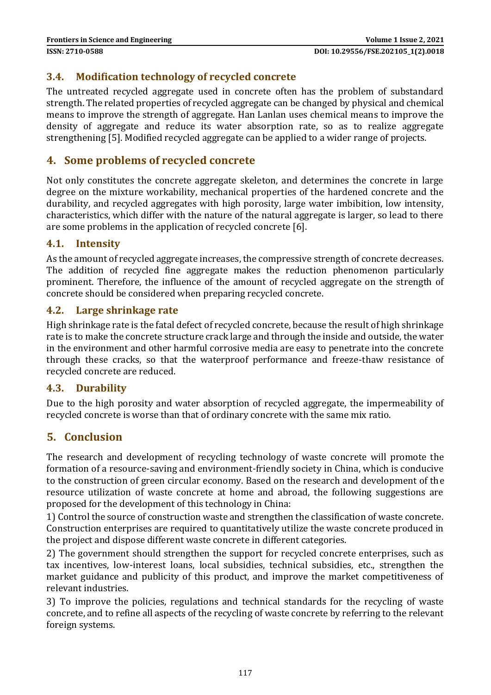#### **3.4. Modification technology of recycled concrete**

The untreated recycled aggregate used in concrete often has the problem of substandard strength. The related properties of recycled aggregate can be changed by physical and chemical means to improve the strength of aggregate. Han Lanlan uses chemical means to improve the density of aggregate and reduce its water absorption rate, so as to realize aggregate strengthening [5]. Modified recycled aggregate can be applied to a wider range of projects.

## **4. Some problems of recycled concrete**

Not only constitutes the concrete aggregate skeleton, and determines the concrete in large degree on the mixture workability, mechanical properties of the hardened concrete and the durability, and recycled aggregates with high porosity, large water imbibition, low intensity, characteristics, which differ with the nature of the natural aggregate is larger, so lead to there are some problems in the application of recycled concrete [6].

#### **4.1. Intensity**

As the amount of recycled aggregate increases, the compressive strength of concrete decreases. The addition of recycled fine aggregate makes the reduction phenomenon particularly prominent. Therefore, the influence of the amount of recycled aggregate on the strength of concrete should be considered when preparing recycled concrete.

#### **4.2. Large shrinkage rate**

High shrinkage rate is the fatal defect of recycled concrete, because the result of high shrinkage rate is to make the concrete structure crack large and through the inside and outside, the water in the environment and other harmful corrosive media are easy to penetrate into the concrete through these cracks, so that the waterproof performance and freeze-thaw resistance of recycled concrete are reduced.

#### **4.3. Durability**

Due to the high porosity and water absorption of recycled aggregate, the impermeability of recycled concrete is worse than that of ordinary concrete with the same mix ratio.

#### **5. Conclusion**

The research and development of recycling technology of waste concrete will promote the formation of a resource-saving and environment-friendly society in China, which is conducive to the construction of green circular economy. Based on the research and development of the resource utilization of waste concrete at home and abroad, the following suggestions are proposed for the development of this technology in China:

1) Control the source of construction waste and strengthen the classification of waste concrete. Construction enterprises are required to quantitatively utilize the waste concrete produced in the project and dispose different waste concrete in different categories.

2) The government should strengthen the support for recycled concrete enterprises, such as tax incentives, low-interest loans, local subsidies, technical subsidies, etc., strengthen the market guidance and publicity of this product, and improve the market competitiveness of relevant industries.

3) To improve the policies, regulations and technical standards for the recycling of waste concrete, and to refine all aspects of the recycling of waste concrete by referring to the relevant foreign systems.